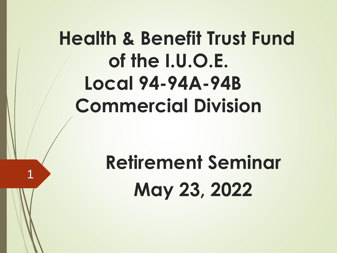# **Health & Benefit Trust Fund of the I.U.O.E. Local 94-94A-94B Commercial Division**

# **Retirement Seminar May 23, 2022**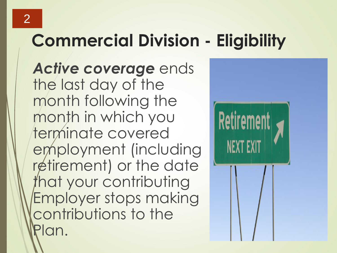## **Commercial Division - Eligibility**

*Active coverage* ends the last day of the month following the month in which you terminate covered employment (including retirement) or the date that your contributing Employer stops making contributions to the an.

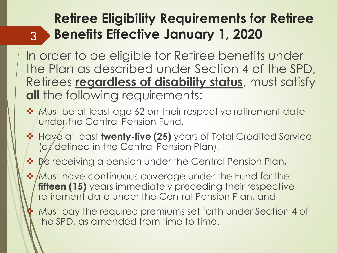#### **Retiree Eligibility Requirements for Retiree Benefits Effective January 1, 2020**

In order to be eligible for Retiree benefits under the Plan as described under Section 4 of the SPD, Retirees **regardless of disability status**, must satisfy **all** the following requirements:

3

- ❖ Must be at least age 62 on their respective retirement date under the Central Pension Fund,
- ❖ Have at least **twenty-five (25)** years of Total Credited Service (as defined in the Central Pension Plan),
- ❖ Be receiving a pension under the Central Pension Plan,

❖ / Must have continuous coverage under the Fund for the **fifteen (15)** years immediately preceding their respective retirement date under the Central Pension Plan, and

❖ Must pay the required premiums set forth under Section 4 of the SPD, as amended from time to time.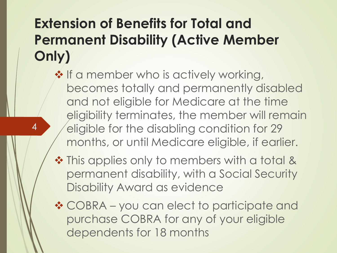#### **Extension of Benefits for Total and Permanent Disability (Active Member Only)**

4

❖ If a member who is actively working, becomes totally and permanently disabled and not eligible for Medicare at the time eligibility terminates, the member will remain eligible for the disabling condition for 29 months, or until Medicare eligible, if earlier.

- ❖ This applies only to members with a total & permanent disability, with a Social Security Disability Award as evidence
- ❖ COBRA you can elect to participate and purchase COBRA for any of your eligible dependents for 18 months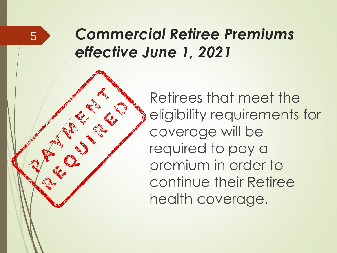#### *Commercial Retiree Premiums effective June 1, 2021*

5

Retirees that meet the eligibility requirements for coverage will be required to pay a premium in order to continue their Retiree health coverage.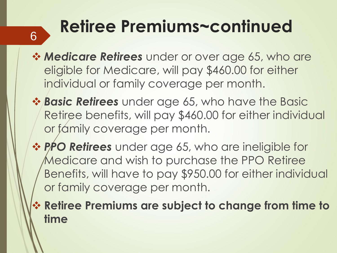# **Retiree Premiums~continued** <sup>6</sup>

- ❖ *Medicare Retirees* under or over age 65, who are eligible for Medicare, will pay \$460.00 for either individual or family coverage per month.
- ❖ *Basic Retirees* under age 65, who have the Basic Retiree benefits, will pay \$460.00 for either individual or family coverage per month.
- ❖ *PPO Retirees* under age 65, who are ineligible for Medicare and wish to purchase the PPO Retiree Benefits, will have to pay \$950.00 for either individual or family coverage per month.
- ❖ **Retiree Premiums are subject to change from time to time**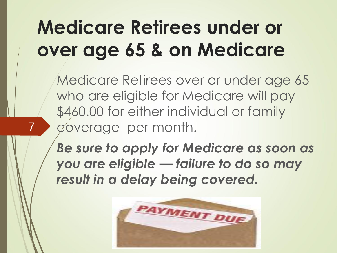## **Medicare Retirees under or over age 65 & on Medicare**

7

Medicare Retirees over or under age 65 who are eligible for Medicare will pay \$460.00 for either individual or family coverage per month.

*Be sure to apply for Medicare as soon as you are eligible — failure to do so may result in a delay being covered.*

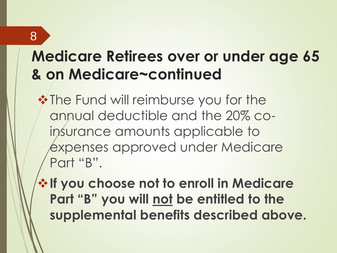#### **Medicare Retirees over or under age 65 & on Medicare~continued**

**❖ The Fund will reimburse you for the** annual deductible and the 20% coinsurance amounts applicable to expenses approved under Medicare Part "B".

❖**If you choose not to enroll in Medicare Part "B" you will not be entitled to the supplemental benefits described above.**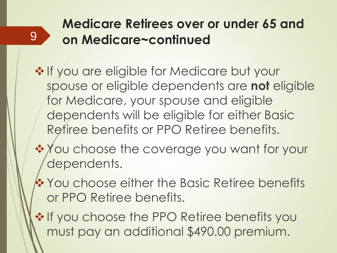#### **Medicare Retirees over or under 65 and on Medicare~continued**

- ❖ If you are eligible for Medicare but your spouse or eligible dependents are **not** eligible for Medicare, your spouse and eligible dependents will be eligible for either Basic Retiree benefits or PPO Retiree benefits.
- ❖ You choose the coverage you want for your dependents.
- ❖You choose either the Basic Retiree benefits or PPO Retiree benefits.
- ❖ If you choose the PPO Retiree benefits you must pay an additional \$490.00 premium.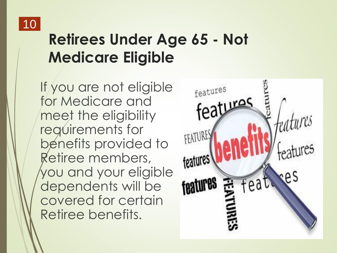

#### **Retirees Under Age 65 - Not Medicare Eligible**

If you are not eligible for Medicare and meet the eligibility requirements for benefits provided to Retiree members, you and your eligible dependents will be covered for certain Retiree benefits.

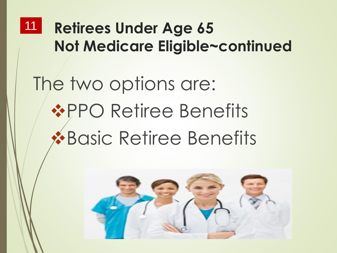#### **Retirees Under Age 65 Not Medicare Eligible~continued** 11

# The two options are: **❖PPO Retiree Benefits** ❖Basic Retiree Benefits

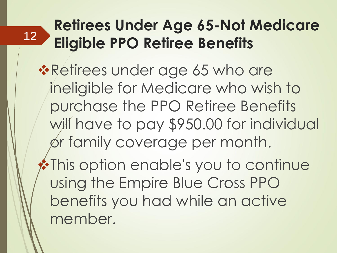#### **Retirees Under Age 65-Not Medicare Eligible PPO Retiree Benefits**  12

- ❖Retirees under age 65 who are ineligible for Medicare who wish to purchase the PPO Retiree Benefits will have to pay \$950.00 for individual or family coverage per month.
- ❖This option enable's you to continue using the Empire Blue Cross PPO benefits you had while an active member.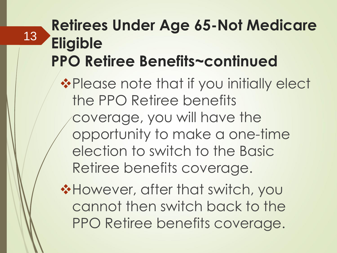#### **Retirees Under Age 65-Not Medicare Eligible PPO Retiree Benefits~continued**

13

❖Please note that if you initially elect the PPO Retiree benefits coverage, you will have the opportunity to make a one-time election to switch to the Basic Retiree benefits coverage.

❖However, after that switch, you cannot then switch back to the PPO Retiree benefits coverage.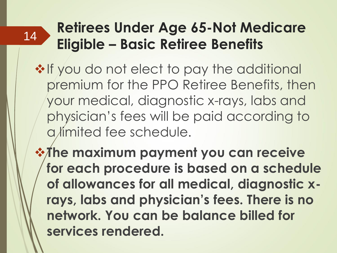#### **Retirees Under Age 65-Not Medicare Eligible – Basic Retiree Benefits**

- ❖If you do not elect to pay the additional premium for the PPO Retiree Benefits, then your medical, diagnostic x-rays, labs and physician's fees will be paid according to a *l*imited fee schedule.
- ❖**The maximum payment you can receive for each procedure is based on a schedule of allowances for all medical, diagnostic xrays, labs and physician's fees. There is no network. You can be balance billed for services rendered.**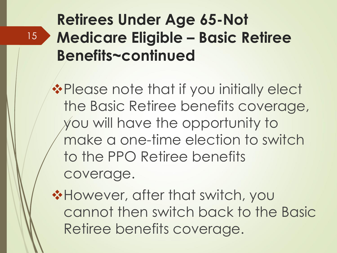#### **Retirees Under Age 65-Not Medicare Eligible – Basic Retiree Benefits~continued**

15

❖Please note that if you initially elect the Basic Retiree benefits coverage, you will have the opportunity to make a one-time election to switch to the PPO Retiree benefits coverage.

❖However, after that switch, you cannot then switch back to the Basic Retiree benefits coverage.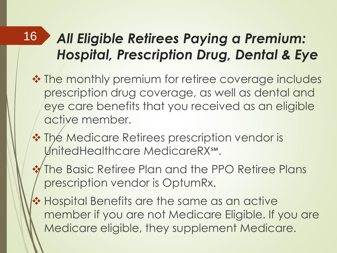#### *All Eligible Retirees Paying a Premium: Hospital, Prescription Drug, Dental & Eye*

- ❖ The monthly premium for retiree coverage includes prescription drug coverage, as well as dental and eye care benefits that you received as an eligible active member.
- ❖ The Medicare Retirees prescription vendor is UnitedHealthcare MedicareRX℠.

- ❖ The Basic Retiree Plan and the PPO Retiree Plans prescription vendor is OptumRx.
- ❖ Hospital Benefits are the same as an active member if you are not Medicare Eligible. If you are Medicare eligible, they supplement Medicare.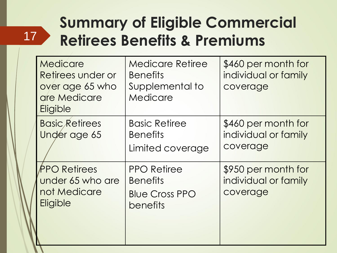#### **Summary of Eligible Commercial Retirees Benefits & Premiums**

| Medicare<br>Retirees under or<br>over age 65 who<br>are Medicare<br>Eligible | <b>Medicare Retiree</b><br><b>Benefits</b><br>Supplemental to<br>Medicare  | \$460 per month for<br>individual or family<br>coverage |
|------------------------------------------------------------------------------|----------------------------------------------------------------------------|---------------------------------------------------------|
| <b>Basic Retirees</b><br>Under age 65                                        | <b>Basic Retiree</b><br><b>Benefits</b><br>Limited coverage                | \$460 per month for<br>individual or family<br>coverage |
| <b>PPO Retirees</b><br>under 65 who are<br>not Medicare<br>Eligible          | <b>PPO Retiree</b><br><b>Benefits</b><br><b>Blue Cross PPO</b><br>benefits | \$950 per month for<br>individual or family<br>coverage |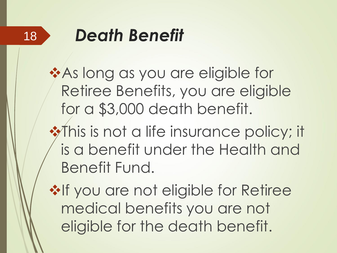

## *Death Benefit*

❖As long as you are eligible for Retiree Benefits, you are eligible for a \$3,000 death benefit.

❖This is not a life insurance policy; it is a benefit under the Health and Benefit Fund.

**❖If you are not eligible for Retiree** medical benefits you are not eligible for the death benefit.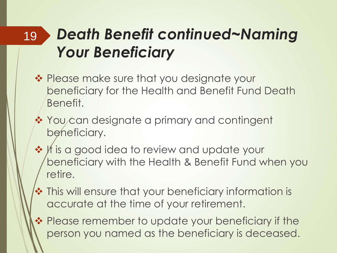#### *Death Benefit continued~Naming Your Beneficiary* 19

- ❖ Please make sure that you designate your beneficiary for the Health and Benefit Fund Death Benefit.
- ❖ You can designate a primary and contingent beneficiary.
- ❖ It is a good idea to review and update your beneficiary with the Health & Benefit Fund when you retire.
- ❖ This will ensure that your beneficiary information is accurate at the time of your retirement.
- ❖ Please remember to update your beneficiary if the person you named as the beneficiary is deceased.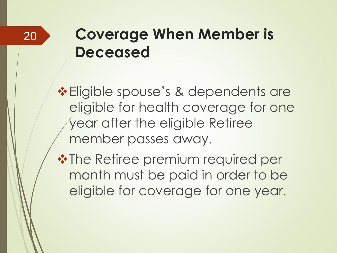#### 20

#### **Coverage When Member is Deceased**

❖Eligible spouse's & dependents are eligible for health coverage for one year after the eligible Retiree member passes away.

❖The Retiree premium required per month must be paid in order to be eligible for coverage for one year.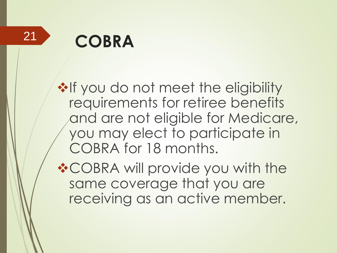21

## **COBRA**

**❖If you do not meet the eligibility** requirements for retiree benefits and are not eligible for Medicare, you may elect to participate in COBRA for 18 months.

❖COBRA will provide you with the same coverage that you are receiving as an active member.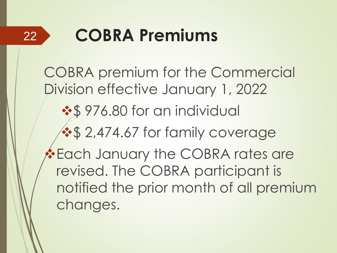

## **COBRA Premiums**

COBRA premium for the Commercial Division effective January 1, 2022 ❖\$ 976.80 for an individual **❖\$ 2,474.67 for family coverage** ❖Each January the COBRA rates are revised. The COBRA participant is notified the prior month of all premium changes.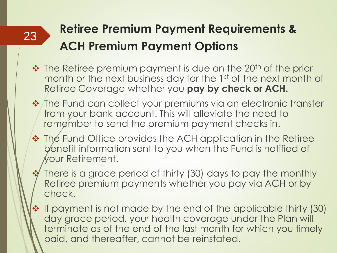#### **Retiree Premium Payment Requirements & ACH Premium Payment Options**

- ❖ The Retiree premium payment is due on the 20<sup>th</sup> of the prior month or the next business day for the 1st of the next month of Retiree Coverage whether you **pay by check or ACH.**
- ❖ The Fund can collect your premiums via an electronic transfer from your bank account. This will alleviate the need to remember to send the premium payment checks in.
- ❖ The Fund Office provides the ACH application in the Retiree benefit information sent to you when the Fund is notified of your Retirement.
	- There is a grace period of thirty (30) days to pay the monthly Retiree premium payments whether you pay via ACH or by check.
- ❖ If payment is not made by the end of the applicable thirty (30) day grace period, your health coverage under the Plan will terminate as of the end of the last month for which you timely paid, and thereafter, cannot be reinstated.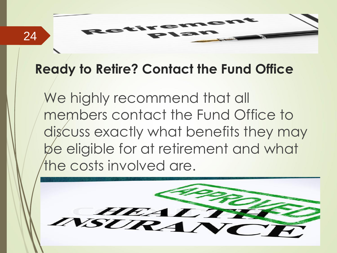#### **Ready to Retire? Contact the Fund Office**

We highly recommend that all members contact the Fund Office to discuss exactly what benefits they may be eligible for at retirement and what the costs involved are.

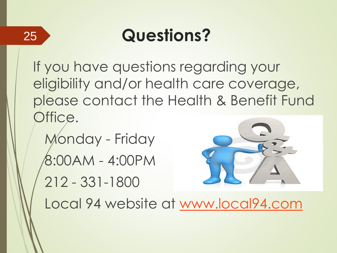

#### **Questions?**

If you have questions regarding your eligibility and/or health care coverage, please contact the Health & Benefit Fund Office.

Monday - Friday 8:00AM - 4:00PM 212 - 331-1800



Local 94 website at [www.local94.com](http://www.local94.com/)